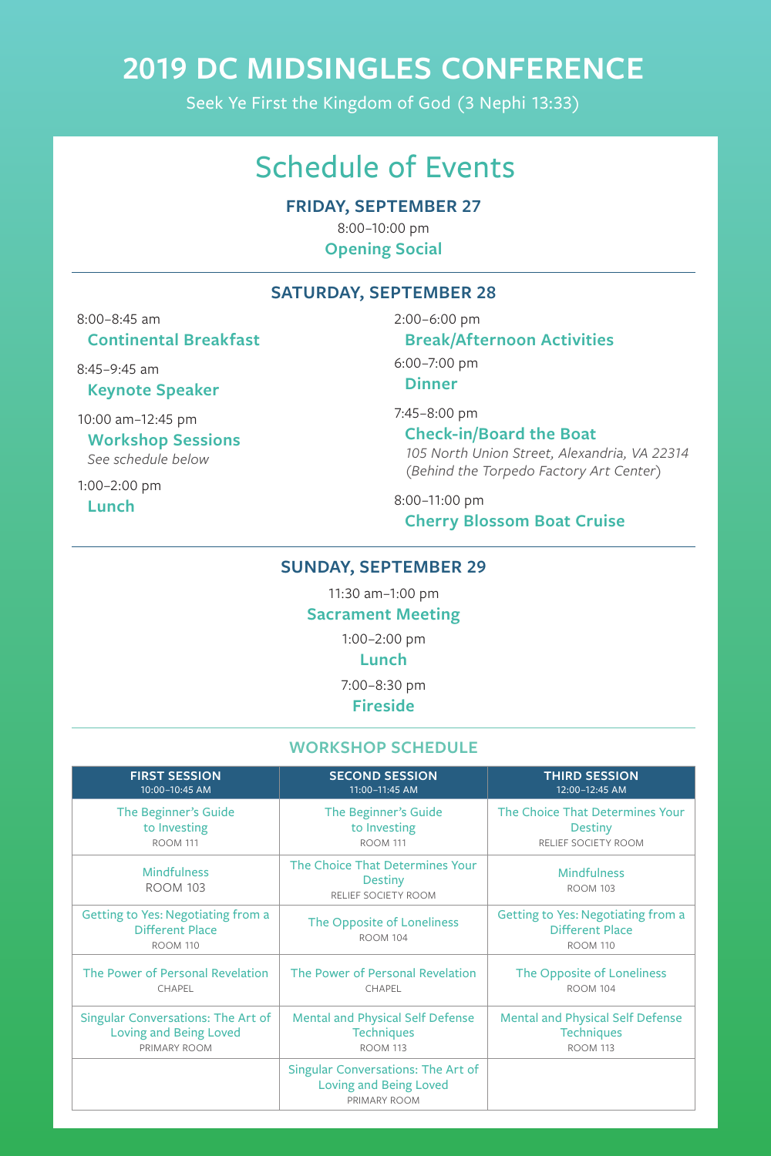**FRIDAY, SEPTEMBER 27**

8:00–10:00 pm **Opening Social**

### **SATURDAY, SEPTEMBER 28**

8:00–8:45 am **Continental Breakfast**

8:45–9:45 am

**Keynote Speaker**

10:00 am–12:45 pm **Workshop Sessions** *See schedule below*

1:00–2:00 pm

**Lunch**

2:00–6:00 pm

### **Break/Afternoon Activities**

6:00–7:00 pm

**Dinner**

7:45–8:00 pm

**Check-in/Board the Boat** *105 North Union Street, Alexandria, VA 22314 (Behind the Torpedo Factory Art Center)*

8:00–11:00 pm **Cherry Blossom Boat Cruise**

## **SUNDAY, SEPTEMBER 29**

11:30 am–1:00 pm

#### **Sacrament Meeting**

1:00–2:00 pm

## **Lunch**

7:00–8:30 pm

**Fireside**

## **WORKSHOP SCHEDULE**

**FIRST SESSION** 10:00–10:45 AM

**SECOND SESSION** 11:00–11:45 AM

**THIRD SESSION** 12:00–12:45 AM

| The Beginner's Guide                                                                   | The Beginner's Guide                                                                       | The Choice That Determines Your                                                        |
|----------------------------------------------------------------------------------------|--------------------------------------------------------------------------------------------|----------------------------------------------------------------------------------------|
| to Investing                                                                           | to Investing                                                                               | <b>Destiny</b>                                                                         |
| <b>ROOM 111</b>                                                                        | <b>ROOM 111</b>                                                                            | RELIEF SOCIETY ROOM                                                                    |
| <b>Mindfulness</b><br><b>ROOM 103</b>                                                  | The Choice That Determines Your<br><b>Destiny</b><br>RELIEF SOCIETY ROOM                   | <b>Mindfulness</b><br><b>ROOM 103</b>                                                  |
| <b>Getting to Yes: Negotiating from a</b><br><b>Different Place</b><br><b>ROOM 110</b> | The Opposite of Loneliness<br><b>ROOM 104</b>                                              | <b>Getting to Yes: Negotiating from a</b><br><b>Different Place</b><br><b>ROOM 110</b> |
| The Power of Personal Revelation                                                       | The Power of Personal Revelation                                                           | The Opposite of Loneliness                                                             |
| CHAPEL                                                                                 | CHAPEL                                                                                     | <b>ROOM 104</b>                                                                        |
| <b>Singular Conversations: The Art of</b>                                              | <b>Mental and Physical Self Defense</b>                                                    | <b>Mental and Physical Self Defense</b>                                                |
| <b>Loving and Being Loved</b>                                                          | <b>Techniques</b>                                                                          | <b>Techniques</b>                                                                      |
| PRIMARY ROOM                                                                           | <b>ROOM 113</b>                                                                            | <b>ROOM 113</b>                                                                        |
|                                                                                        | <b>Singular Conversations: The Art of</b><br><b>Loving and Being Loved</b><br>PRIMARY ROOM |                                                                                        |

# Schedule of Events

# **2019 DC MIDSINGLES CONFERENCE**

Seek Ye First the Kingdom of God (3 Nephi 13:33)